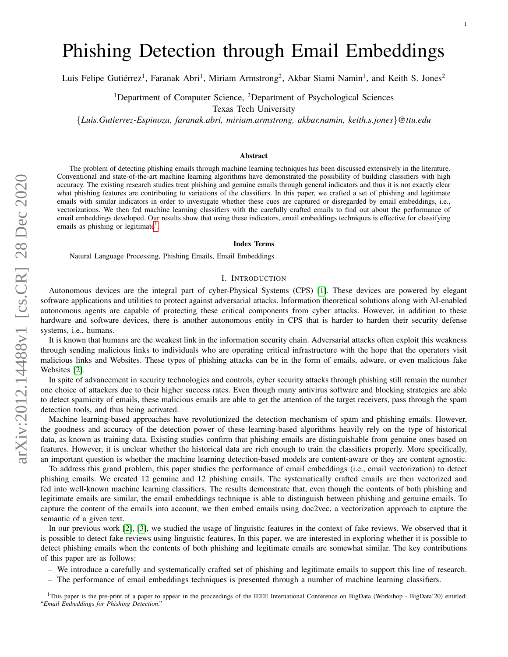# Phishing Detection through Email Embeddings

Luis Felipe Gutiérrez<sup>1</sup>, Faranak Abri<sup>1</sup>, Miriam Armstrong<sup>2</sup>, Akbar Siami Namin<sup>1</sup>, and Keith S. Jones<sup>2</sup>

<sup>1</sup>Department of Computer Science, <sup>2</sup>Department of Psychological Sciences Texas Tech University

{*Luis.Gutierrez-Espinoza, faranak.abri, miriam.armstrong, akbar.namin, keith.s.jones*}*@ttu.edu*

#### Abstract

The problem of detecting phishing emails through machine learning techniques has been discussed extensively in the literature. Conventional and state-of-the-art machine learning algorithms have demonstrated the possibility of building classifiers with high accuracy. The existing research studies treat phishing and genuine emails through general indicators and thus it is not exactly clear what phishing features are contributing to variations of the classifiers. In this paper, we crafted a set of phishing and legitimate emails with similar indicators in order to investigate whether these cues are captured or disregarded by email embeddings, i.e., vectorizations. We then fed machine learning classifiers with the carefully crafted emails to find out about the performance of email embeddings developed. Our results show that using these indicators, email embeddings techniques is effective for classifying emails as phishing or legitimate<sup>[1](#page-0-0)</sup>.

#### Index Terms

Natural Language Processing, Phishing Emails, Email Embeddings

## I. INTRODUCTION

Autonomous devices are the integral part of cyber-Physical Systems (CPS) [\[1\]](#page-8-0). These devices are powered by elegant software applications and utilities to protect against adversarial attacks. Information theoretical solutions along with AI-enabled autonomous agents are capable of protecting these critical components from cyber attacks. However, in addition to these hardware and software devices, there is another autonomous entity in CPS that is harder to harden their security defense systems, i.e., humans.

It is known that humans are the weakest link in the information security chain. Adversarial attacks often exploit this weakness through sending malicious links to individuals who are operating critical infrastructure with the hope that the operators visit malicious links and Websites. These types of phishing attacks can be in the form of emails, adware, or even malicious fake Websites [\[2\]](#page-8-1).

In spite of advancement in security technologies and controls, cyber security attacks through phishing still remain the number one choice of attackers due to their higher success rates. Even though many antivirus software and blocking strategies are able to detect spamicity of emails, these malicious emails are able to get the attention of the target receivers, pass through the spam detection tools, and thus being activated.

Machine learning-based approaches have revolutionized the detection mechanism of spam and phishing emails. However, the goodness and accuracy of the detection power of these learning-based algorithms heavily rely on the type of historical data, as known as training data. Existing studies confirm that phishing emails are distinguishable from genuine ones based on features. However, it is unclear whether the historical data are rich enough to train the classifiers properly. More specifically, an important question is whether the machine learning detection-based models are content-aware or they are content agnostic.

To address this grand problem, this paper studies the performance of email embeddings (i.e., email vectorization) to detect phishing emails. We created 12 genuine and 12 phishing emails. The systematically crafted emails are then vectorized and fed into well-known machine learning classifiers. The results demonstrate that, even though the contents of both phishing and legitimate emails are similar, the email embeddings technique is able to distinguish between phishing and genuine emails. To capture the content of the emails into account, we then embed emails using doc2vec, a vectorization approach to capture the semantic of a given text.

In our previous work [\[2\]](#page-8-1), [\[3\]](#page-8-2), we studied the usage of linguistic features in the context of fake reviews. We observed that it is possible to detect fake reviews using linguistic features. In this paper, we are interested in exploring whether it is possible to detect phishing emails when the contents of both phishing and legitimate emails are somewhat similar. The key contributions of this paper are as follows:

- We introduce a carefully and systematically crafted set of phishing and legitimate emails to support this line of research.
- The performance of email embeddings techniques is presented through a number of machine learning classifiers.

<span id="page-0-0"></span><sup>&</sup>lt;sup>1</sup>This paper is the pre-print of a paper to appear in the proceedings of the IEEE International Conference on BigData (Workshop - BigData'20) entitled: "*Email Embeddings for Phishing Detection*."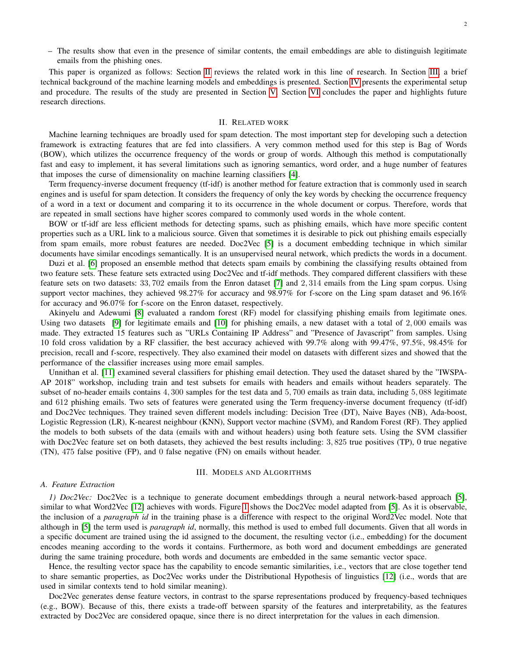– The results show that even in the presence of similar contents, the email embeddings are able to distinguish legitimate emails from the phishing ones.

This paper is organized as follows: Section [II](#page-1-0) reviews the related work in this line of research. In Section [III,](#page-1-1) a brief technical background of the machine learning models and embeddings is presented. Section [IV](#page-3-0) presents the experimental setup and procedure. The results of the study are presented in Section [V.](#page-4-0) Section [VI](#page-6-0) concludes the paper and highlights future research directions.

# II. RELATED WORK

<span id="page-1-0"></span>Machine learning techniques are broadly used for spam detection. The most important step for developing such a detection framework is extracting features that are fed into classifiers. A very common method used for this step is Bag of Words (BOW), which utilizes the occurrence frequency of the words or group of words. Although this method is computationally fast and easy to implement, it has several limitations such as ignoring semantics, word order, and a huge number of features that imposes the curse of dimensionality on machine learning classifiers [\[4\]](#page-8-3).

Term frequency-inverse document frequency (tf-idf) is another method for feature extraction that is commonly used in search engines and is useful for spam detection. It considers the frequency of only the key words by checking the occurrence frequency of a word in a text or document and comparing it to its occurrence in the whole document or corpus. Therefore, words that are repeated in small sections have higher scores compared to commonly used words in the whole content.

BOW or tf-idf are less efficient methods for detecting spams, such as phishing emails, which have more specific content properties such as a URL link to a malicious source. Given that sometimes it is desirable to pick out phishing emails especially from spam emails, more robust features are needed. Doc2Vec [\[5\]](#page-8-4) is a document embedding technique in which similar documents have similar encodings semantically. It is an unsupervised neural network, which predicts the words in a document.

Duzi et al. [\[6\]](#page-8-5) proposed an ensemble method that detects spam emails by combining the classifying results obtained from two feature sets. These feature sets extracted using Doc2Vec and tf-idf methods. They compared different classifiers with these feature sets on two datasets: 33, 702 emails from the Enron dataset [\[7\]](#page-8-6) and 2, 314 emails from the Ling spam corpus. Using support vector machines, they achieved 98.27% for accuracy and 98.97% for f-score on the Ling spam dataset and 96.16% for accuracy and 96.07% for f-score on the Enron dataset, respectively.

Akinyelu and Adewumi [\[8\]](#page-8-7) evaluated a random forest (RF) model for classifying phishing emails from legitimate ones. Using two datasets [\[9\]](#page-8-8) for legitimate emails and [\[10\]](#page-8-9) for phishing emails, a new dataset with a total of 2, 000 emails was made. They extracted 15 features such as "URLs Containing IP Address" and "Presence of Javascript" from samples. Using 10 fold cross validation by a RF classifier, the best accuracy achieved with 99.7% along with 99.47%, 97.5%, 98.45% for precision, recall and f-score, respectively. They also examined their model on datasets with different sizes and showed that the performance of the classifier increases using more email samples.

Unnithan et al. [\[11\]](#page-8-10) examined several classifiers for phishing email detection. They used the dataset shared by the "IWSPA-AP 2018" workshop, including train and test subsets for emails with headers and emails without headers separately. The subset of no-header emails contains 4, 300 samples for the test data and 5, 700 emails as train data, including 5, 088 legitimate and 612 phishing emails. Two sets of features were generated using the Term frequency-inverse document frequency (tf-idf) and Doc2Vec techniques. They trained seven different models including: Decision Tree (DT), Naive Bayes (NB), Ada-boost, Logistic Regression (LR), K-nearest neighbour (KNN), Support vector machine (SVM), and Random Forest (RF). They applied the models to both subsets of the data (emails with and without headers) using both feature sets. Using the SVM classifier with Doc2Vec feature set on both datasets, they achieved the best results including: 3,825 true positives (TP), 0 true negative (TN), 475 false positive (FP), and 0 false negative (FN) on emails without header.

## III. MODELS AND ALGORITHMS

# <span id="page-1-1"></span>*A. Feature Extraction*

*1) Doc2Vec:* Doc2Vec is a technique to generate document embeddings through a neural network-based approach [\[5\]](#page-8-4), similar to what Word2Vec [\[12\]](#page-8-11) achieves with words. Figure [1](#page-2-0) shows the Doc2Vec model adapted from [\[5\]](#page-8-4). As it is observable, the inclusion of a *paragraph id* in the training phase is a difference with respect to the original Word2Vec model. Note that although in [\[5\]](#page-8-4) the term used is *paragraph id*, normally, this method is used to embed full documents. Given that all words in a specific document are trained using the id assigned to the document, the resulting vector (i.e., embedding) for the document encodes meaning according to the words it contains. Furthermore, as both word and document embeddings are generated during the same training procedure, both words and documents are embedded in the same semantic vector space.

Hence, the resulting vector space has the capability to encode semantic similarities, i.e., vectors that are close together tend to share semantic properties, as Doc2Vec works under the Distributional Hypothesis of linguistics [\[12\]](#page-8-11) (i.e., words that are used in similar contexts tend to hold similar meaning).

Doc2Vec generates dense feature vectors, in contrast to the sparse representations produced by frequency-based techniques (e.g., BOW). Because of this, there exists a trade-off between sparsity of the features and interpretability, as the features extracted by Doc2Vec are considered opaque, since there is no direct interpretation for the values in each dimension.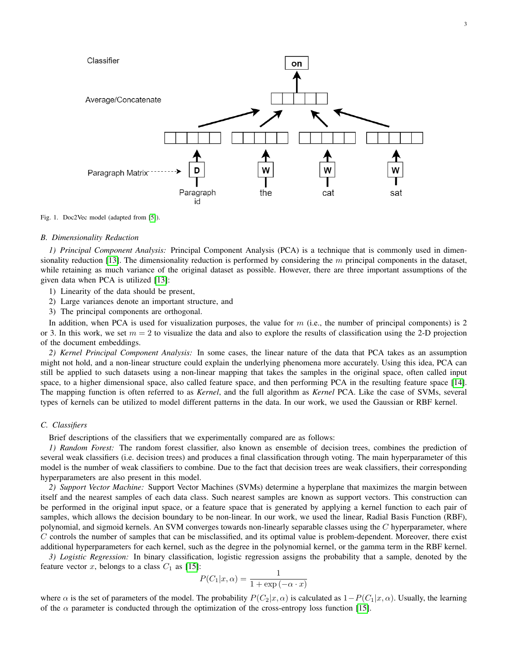

<span id="page-2-0"></span>Fig. 1. Doc2Vec model (adapted from [\[5\]](#page-8-4)).

#### *B. Dimensionality Reduction*

*1) Principal Component Analysis:* Principal Component Analysis (PCA) is a technique that is commonly used in dimen-sionality reduction [\[13\]](#page-8-12). The dimensionality reduction is performed by considering the  $m$  principal components in the dataset, while retaining as much variance of the original dataset as possible. However, there are three important assumptions of the given data when PCA is utilized [\[13\]](#page-8-12):

- 1) Linearity of the data should be present,
- 2) Large variances denote an important structure, and
- 3) The principal components are orthogonal.

In addition, when PCA is used for visualization purposes, the value for  $m$  (i.e., the number of principal components) is 2 or 3. In this work, we set  $m = 2$  to visualize the data and also to explore the results of classification using the 2-D projection of the document embeddings.

*2) Kernel Principal Component Analysis:* In some cases, the linear nature of the data that PCA takes as an assumption might not hold, and a non-linear structure could explain the underlying phenomena more accurately. Using this idea, PCA can still be applied to such datasets using a non-linear mapping that takes the samples in the original space, often called input space, to a higher dimensional space, also called feature space, and then performing PCA in the resulting feature space [\[14\]](#page-8-13). The mapping function is often referred to as *Kernel*, and the full algorithm as *Kernel* PCA. Like the case of SVMs, several types of kernels can be utilized to model different patterns in the data. In our work, we used the Gaussian or RBF kernel.

# *C. Classifiers*

Brief descriptions of the classifiers that we experimentally compared are as follows:

*1) Random Forest:* The random forest classifier, also known as ensemble of decision trees, combines the prediction of several weak classifiers (i.e. decision trees) and produces a final classification through voting. The main hyperparameter of this model is the number of weak classifiers to combine. Due to the fact that decision trees are weak classifiers, their corresponding hyperparameters are also present in this model.

*2) Support Vector Machine:* Support Vector Machines (SVMs) determine a hyperplane that maximizes the margin between itself and the nearest samples of each data class. Such nearest samples are known as support vectors. This construction can be performed in the original input space, or a feature space that is generated by applying a kernel function to each pair of samples, which allows the decision boundary to be non-linear. In our work, we used the linear, Radial Basis Function (RBF), polynomial, and sigmoid kernels. An SVM converges towards non-linearly separable classes using the  $C$  hyperparameter, where  $C$  controls the number of samples that can be misclassified, and its optimal value is problem-dependent. Moreover, there exist additional hyperparameters for each kernel, such as the degree in the polynomial kernel, or the gamma term in the RBF kernel.

*3) Logistic Regression:* In binary classification, logistic regression assigns the probability that a sample, denoted by the feature vector x, belongs to a class  $C_1$  as [\[15\]](#page-8-14):

$$
P(C_1|x,\alpha) = \frac{1}{1 + \exp(-\alpha \cdot x)}
$$

where  $\alpha$  is the set of parameters of the model. The probability  $P(C_2|x,\alpha)$  is calculated as  $1-P(C_1|x,\alpha)$ . Usually, the learning of the  $\alpha$  parameter is conducted through the optimization of the cross-entropy loss function [\[15\]](#page-8-14).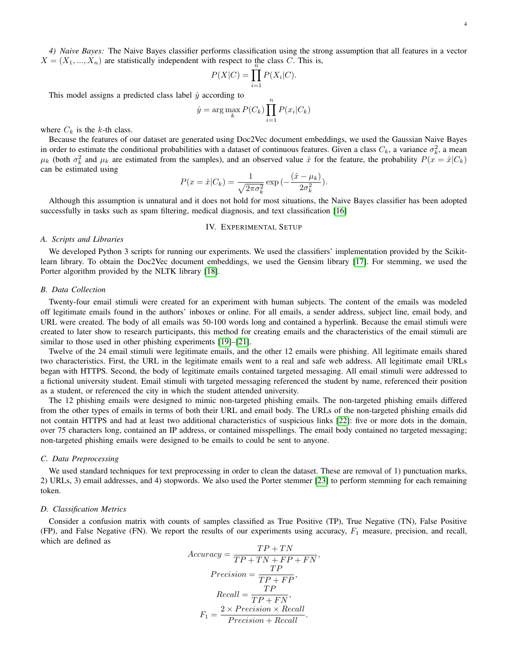*4) Naive Bayes:* The Naive Bayes classifier performs classification using the strong assumption that all features in a vector  $X = (X_1, ..., X_n)$  are statistically independent with respect to the class C. This is,<br> $P(X|C) = \prod P(X_i|C)$ .

$$
P(X|C) = \prod_{i=1}^{n} P(X_i|C).
$$

This model assigns a predicted class label  $\hat{y}$  according to

$$
\hat{y} = \arg\max_{k} P(C_k) \prod_{i=1}^{n} P(x_i | C_k)
$$

where  $C_k$  is the k-th class.

Because the features of our dataset are generated using Doc2Vec document embeddings, we used the Gaussian Naive Bayes in order to estimate the conditional probabilities with a dataset of continuous features. Given a class  $C_k$ , a variance  $\sigma_k^2$ , a mean  $\mu_k$  (both  $\sigma_k^2$  and  $\mu_k$  are estimated from the samples), and an observed value  $\hat{x}$  for the feature, the probability  $P(x = \hat{x}|C_k)$ can be estimated using

$$
P(x = \hat{x}|C_k) = \frac{1}{\sqrt{2\pi\sigma_k^2}} \exp\left(-\frac{(\hat{x} - \mu_k)}{2\sigma_k^2}\right).
$$

Although this assumption is unnatural and it does not hold for most situations, the Naive Bayes classifier has been adopted successfully in tasks such as spam filtering, medical diagnosis, and text classification [\[16\]](#page-8-15)

## IV. EXPERIMENTAL SETUP

#### <span id="page-3-0"></span>*A. Scripts and Libraries*

We developed Python 3 scripts for running our experiments. We used the classifiers' implementation provided by the Scikitlearn library. To obtain the Doc2Vec document embeddings, we used the Gensim library [\[17\]](#page-8-16). For stemming, we used the Porter algorithm provided by the NLTK library [\[18\]](#page-8-17).

## *B. Data Collection*

Twenty-four email stimuli were created for an experiment with human subjects. The content of the emails was modeled off legitimate emails found in the authors' inboxes or online. For all emails, a sender address, subject line, email body, and URL were created. The body of all emails was 50-100 words long and contained a hyperlink. Because the email stimuli were created to later show to research participants, this method for creating emails and the characteristics of the email stimuli are similar to those used in other phishing experiments [\[19\]](#page-8-18)–[\[21\]](#page-8-19).

Twelve of the 24 email stimuli were legitimate emails, and the other 12 emails were phishing. All legitimate emails shared two characteristics. First, the URL in the legitimate emails went to a real and safe web address. All legitimate email URLs began with HTTPS. Second, the body of legitimate emails contained targeted messaging. All email stimuli were addressed to a fictional university student. Email stimuli with targeted messaging referenced the student by name, referenced their position as a student, or referenced the city in which the student attended university.

The 12 phishing emails were designed to mimic non-targeted phishing emails. The non-targeted phishing emails differed from the other types of emails in terms of both their URL and email body. The URLs of the non-targeted phishing emails did not contain HTTPS and had at least two additional characteristics of suspicious links [\[22\]](#page-8-20): five or more dots in the domain, over 75 characters long, contained an IP address, or contained misspellings. The email body contained no targeted messaging; non-targeted phishing emails were designed to be emails to could be sent to anyone.

## *C. Data Preprocessing*

We used standard techniques for text preprocessing in order to clean the dataset. These are removal of 1) punctuation marks, 2) URLs, 3) email addresses, and 4) stopwords. We also used the Porter stemmer [\[23\]](#page-8-21) to perform stemming for each remaining token.

#### *D. Classification Metrics*

Consider a confusion matrix with counts of samples classified as True Positive (TP), True Negative (TN), False Positive (FP), and False Negative (FN). We report the results of our experiments using accuracy,  $F_1$  measure, precision, and recall, which are defined as

$$
Accuracy = \frac{TP + TN}{TP + TN + FP + FN},
$$

$$
Precision = \frac{TP}{TP + FP},
$$

$$
Recall = \frac{TP}{TP + FN},
$$

$$
F_1 = \frac{2 \times Precision \times Recall}{Precision + Recall}.
$$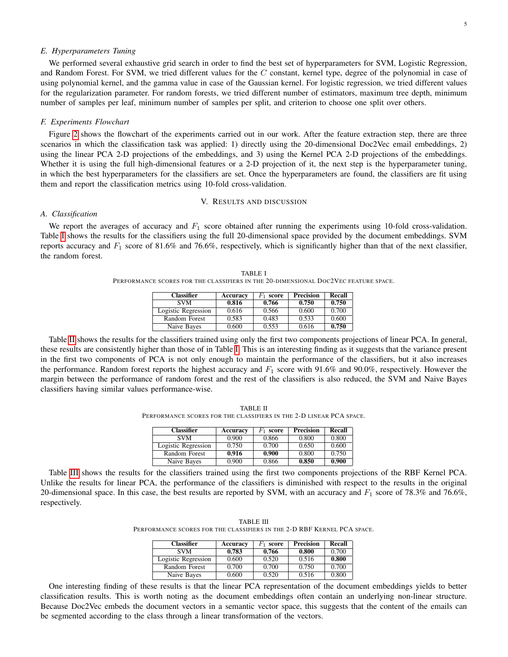## *E. Hyperparameters Tuning*

We performed several exhaustive grid search in order to find the best set of hyperparameters for SVM, Logistic Regression, and Random Forest. For SVM, we tried different values for the  $C$  constant, kernel type, degree of the polynomial in case of using polynomial kernel, and the gamma value in case of the Gaussian kernel. For logistic regression, we tried different values for the regularization parameter. For random forests, we tried different number of estimators, maximum tree depth, minimum number of samples per leaf, minimum number of samples per split, and criterion to choose one split over others.

## *F. Experiments Flowchart*

Figure [2](#page-5-0) shows the flowchart of the experiments carried out in our work. After the feature extraction step, there are three scenarios in which the classification task was applied: 1) directly using the 20-dimensional Doc2Vec email embeddings, 2) using the linear PCA 2-D projections of the embeddings, and 3) using the Kernel PCA 2-D projections of the embeddings. Whether it is using the full high-dimensional features or a 2-D projection of it, the next step is the hyperparameter tuning, in which the best hyperparameters for the classifiers are set. Once the hyperparameters are found, the classifiers are fit using them and report the classification metrics using 10-fold cross-validation.

# V. RESULTS AND DISCUSSION

#### <span id="page-4-0"></span>*A. Classification*

<span id="page-4-1"></span>We report the averages of accuracy and  $F_1$  score obtained after running the experiments using 10-fold cross-validation. Table [I](#page-4-1) shows the results for the classifiers using the full 20-dimensional space provided by the document embeddings. SVM reports accuracy and  $F_1$  score of 81.6% and 76.6%, respectively, which is significantly higher than that of the next classifier, the random forest.

TABLE I PERFORMANCE SCORES FOR THE CLASSIFIERS IN THE 20-DIMENSIONAL DOC2VEC FEATURE SPACE.

| <b>Classifier</b>   | Accuracy | score | <b>Precision</b> | Recall |
|---------------------|----------|-------|------------------|--------|
| <b>SVM</b>          | 0.816    | 0.766 | 0.750            | 0.750  |
| Logistic Regression | 0.616    | 0.566 | 0.600            | 0.700  |
| Random Forest       | 0.583    | 0.483 | 0.533            | 0.600  |
| Naive Bayes         | 0.600    | 0.553 | 0.616            | 0.750  |

Table [II](#page-4-2) shows the results for the classifiers trained using only the first two components projections of linear PCA. In general, these results are consistently higher than those of in Table [I.](#page-4-1) This is an interesting finding as it suggests that the variance present in the first two components of PCA is not only enough to maintain the performance of the classifiers, but it also increases the performance. Random forest reports the highest accuracy and  $F_1$  score with 91.6% and 90.0%, respectively. However the margin between the performance of random forest and the rest of the classifiers is also reduced, the SVM and Naive Bayes classifiers having similar values performance-wise.

TABLE II PERFORMANCE SCORES FOR THE CLASSIFIERS IN THE 2-D LINEAR PCA SPACE.

| <b>Classifier</b>   | Accuracy | score | Precision | Recall |
|---------------------|----------|-------|-----------|--------|
| <b>SVM</b>          | 0.900    | 0.866 | 0.800     | 0.800  |
| Logistic Regression | 0.750    | 0.700 | 0.650     | 0.600  |
| Random Forest       | 0.916    | 0.900 | 0.800     | 0.750  |
| Naive Bayes         | 0.900    | 0.866 | 0.850     | 0.900  |

<span id="page-4-3"></span><span id="page-4-2"></span>Table [III](#page-4-3) shows the results for the classifiers trained using the first two components projections of the RBF Kernel PCA. Unlike the results for linear PCA, the performance of the classifiers is diminished with respect to the results in the original 20-dimensional space. In this case, the best results are reported by SVM, with an accuracy and  $F_1$  score of 78.3% and 76.6%, respectively.

TABLE III PERFORMANCE SCORES FOR THE CLASSIFIERS IN THE 2-D RBF KERNEL PCA SPACE.

| <b>Classifier</b>   | Accuracy | score | <b>Precision</b> | Recall |
|---------------------|----------|-------|------------------|--------|
| <b>SVM</b>          | 0.783    | 0.766 | 0.800            | 0.700  |
| Logistic Regression | 0.600    | 0.520 | 0.516            | 0.800  |
| Random Forest       | 0.700    | 0.700 | 0.750            | 0.700  |
| Naive Bayes         | 0.600    | 0.520 | 0.516            | 0.800  |

One interesting finding of these results is that the linear PCA representation of the document embeddings yields to better classification results. This is worth noting as the document embeddings often contain an underlying non-linear structure. Because Doc2Vec embeds the document vectors in a semantic vector space, this suggests that the content of the emails can be segmented according to the class through a linear transformation of the vectors.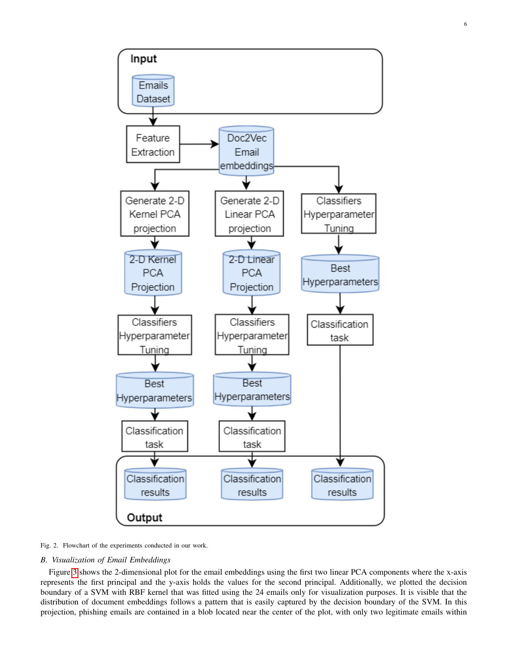

<span id="page-5-0"></span>Fig. 2. Flowchart of the experiments conducted in our work.

# *B. Visualization of Email Embeddings*

Figure [3](#page-6-1) shows the 2-dimensional plot for the email embeddings using the first two linear PCA components where the x-axis represents the first principal and the y-axis holds the values for the second principal. Additionally, we plotted the decision boundary of a SVM with RBF kernel that was fitted using the 24 emails only for visualization purposes. It is visible that the distribution of document embeddings follows a pattern that is easily captured by the decision boundary of the SVM. In this projection, phishing emails are contained in a blob located near the center of the plot, with only two legitimate emails within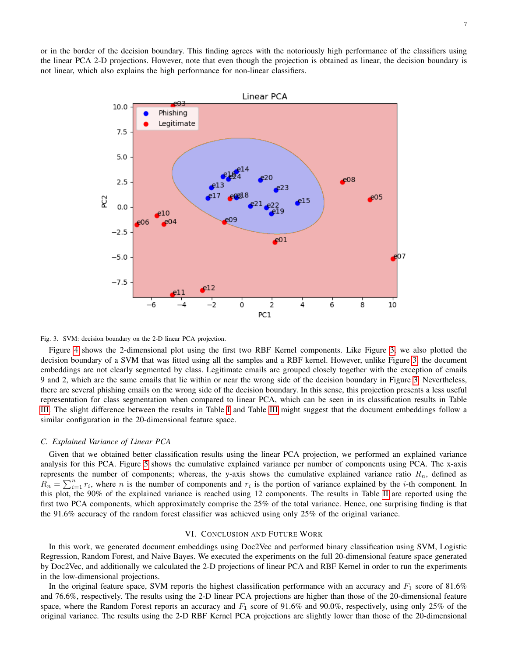or in the border of the decision boundary. This finding agrees with the notoriously high performance of the classifiers using the linear PCA 2-D projections. However, note that even though the projection is obtained as linear, the decision boundary is not linear, which also explains the high performance for non-linear classifiers.



#### <span id="page-6-1"></span>Fig. 3. SVM: decision boundary on the 2-D linear PCA projection.

Figure [4](#page-7-0) shows the 2-dimensional plot using the first two RBF Kernel components. Like Figure [3,](#page-6-1) we also plotted the decision boundary of a SVM that was fitted using all the samples and a RBF kernel. However, unlike Figure [3,](#page-6-1) the document embeddings are not clearly segmented by class. Legitimate emails are grouped closely together with the exception of emails 9 and 2, which are the same emails that lie within or near the wrong side of the decision boundary in Figure [3.](#page-6-1) Nevertheless, there are several phishing emails on the wrong side of the decision boundary. In this sense, this projection presents a less useful representation for class segmentation when compared to linear PCA, which can be seen in its classification results in Table [III.](#page-4-3) The slight difference between the results in Table [I](#page-4-1) and Table [III](#page-4-3) might suggest that the document embeddings follow a similar configuration in the 20-dimensional feature space.

# *C. Explained Variance of Linear PCA*

Given that we obtained better classification results using the linear PCA projection, we performed an explained variance analysis for this PCA. Figure [5](#page-7-1) shows the cumulative explained variance per number of components using PCA. The x-axis represents the number of components; whereas, the y-axis shows the cumulative explained variance ratio  $R_n$ , defined as  $R_n = \sum_{i=1}^n r_i$ , where *n* is the number of components and  $r_i$  is the portion of variance explained by the *i*-th component. In this plot, the 90% of the explained variance is reached using 12 components. The results in Table [II](#page-4-2) are reported using the first two PCA components, which approximately comprise the 25% of the total variance. Hence, one surprising finding is that the 91.6% accuracy of the random forest classifier was achieved using only 25% of the original variance.

## VI. CONCLUSION AND FUTURE WORK

<span id="page-6-0"></span>In this work, we generated document embeddings using Doc2Vec and performed binary classification using SVM, Logistic Regression, Random Forest, and Naive Bayes. We executed the experiments on the full 20-dimensional feature space generated by Doc2Vec, and additionally we calculated the 2-D projections of linear PCA and RBF Kernel in order to run the experiments in the low-dimensional projections.

In the original feature space, SVM reports the highest classification performance with an accuracy and  $F_1$  score of 81.6% and 76.6%, respectively. The results using the 2-D linear PCA projections are higher than those of the 20-dimensional feature space, where the Random Forest reports an accuracy and  $F_1$  score of 91.6% and 90.0%, respectively, using only 25% of the original variance. The results using the 2-D RBF Kernel PCA projections are slightly lower than those of the 20-dimensional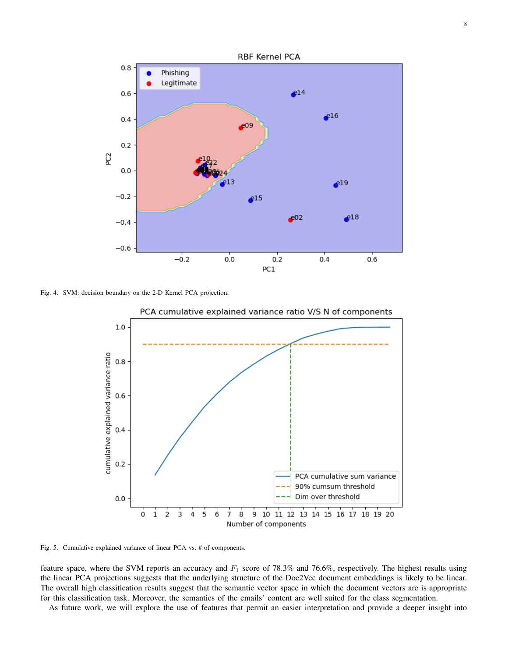

<span id="page-7-0"></span>Fig. 4. SVM: decision boundary on the 2-D Kernel PCA projection.



PCA cumulative explained variance ratio V/S N of components

<span id="page-7-1"></span>Fig. 5. Cumulative explained variance of linear PCA vs. # of components.

feature space, where the SVM reports an accuracy and  $F_1$  score of 78.3% and 76.6%, respectively. The highest results using the linear PCA projections suggests that the underlying structure of the Doc2Vec document embeddings is likely to be linear. The overall high classification results suggest that the semantic vector space in which the document vectors are is appropriate for this classification task. Moreover, the semantics of the emails' content are well suited for the class segmentation.

As future work, we will explore the use of features that permit an easier interpretation and provide a deeper insight into